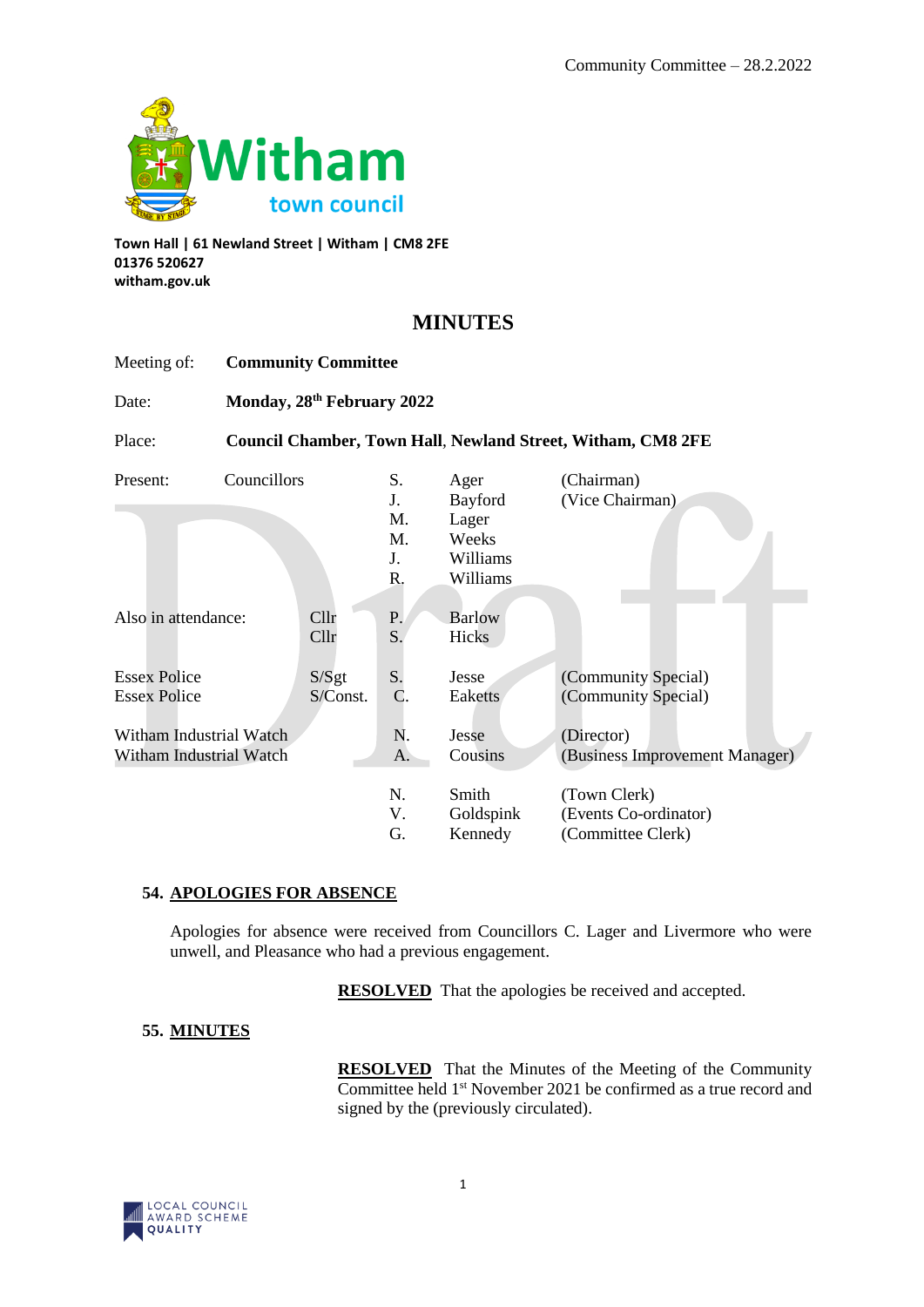

**Town Hall | 61 Newland Street | Witham | CM8 2FE 01376 520627 witham.gov.uk**

# **MINUTES**

| Meeting of:                                        | <b>Community Committee</b>             |                   |                                  |                                                           |                                                                    |
|----------------------------------------------------|----------------------------------------|-------------------|----------------------------------|-----------------------------------------------------------|--------------------------------------------------------------------|
| Date:                                              | Monday, 28 <sup>th</sup> February 2022 |                   |                                  |                                                           |                                                                    |
| Place:                                             |                                        |                   |                                  |                                                           | <b>Council Chamber, Town Hall, Newland Street, Witham, CM8 2FE</b> |
| Present:                                           | Councillors                            |                   | S.<br>J.<br>M.<br>M.<br>J.<br>R. | Ager<br>Bayford<br>Lager<br>Weeks<br>Williams<br>Williams | (Chairman)<br>(Vice Chairman)                                      |
| Also in attendance:                                |                                        | Cllr<br>Cllr      | P.<br>S.                         | <b>Barlow</b><br>Hicks                                    |                                                                    |
| <b>Essex Police</b><br><b>Essex Police</b>         |                                        | S/Sgt<br>S/Const. | S.<br>$\mathcal{C}$ .            | Jesse<br>Eaketts                                          | (Community Special)<br>(Community Special)                         |
| Witham Industrial Watch<br>Witham Industrial Watch |                                        |                   | N.<br>A.                         | Jesse<br>Cousins                                          | (Director)<br>(Business Improvement Manager)                       |
|                                                    |                                        |                   | N.<br>V.<br>G.                   | Smith<br>Goldspink<br>Kennedy                             | (Town Clerk)<br>(Events Co-ordinator)<br>(Committee Clerk)         |

# **54. APOLOGIES FOR ABSENCE**

Apologies for absence were received from Councillors C. Lager and Livermore who were unwell, and Pleasance who had a previous engagement.

**RESOLVED** That the apologies be received and accepted.

# **55. MINUTES**

**RESOLVED** That the Minutes of the Meeting of the Community Committee held 1<sup>st</sup> November 2021 be confirmed as a true record and signed by the (previously circulated).

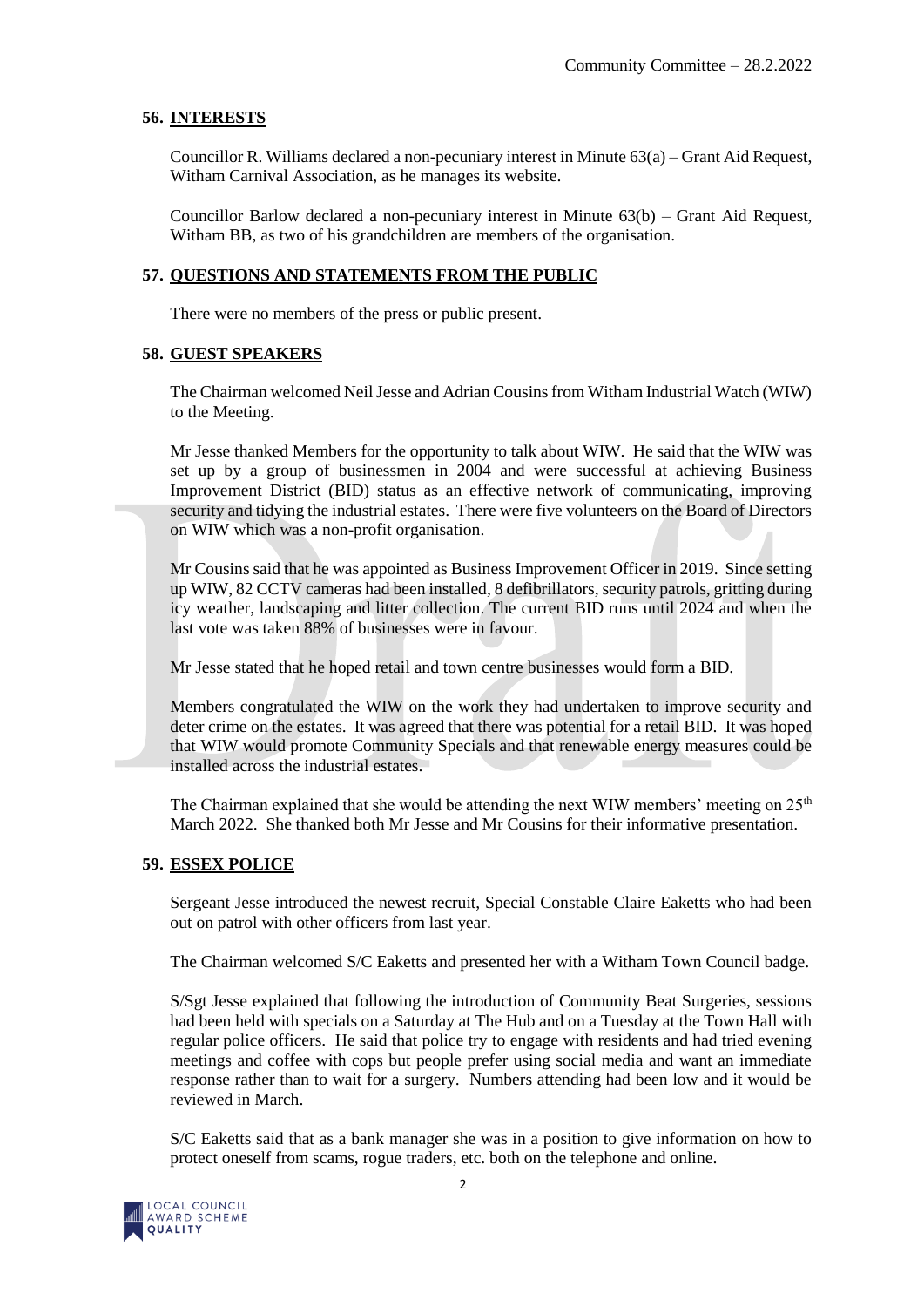#### **56. INTERESTS**

Councillor R. Williams declared a non-pecuniary interest in Minute 63(a) – Grant Aid Request, Witham Carnival Association, as he manages its website.

Councillor Barlow declared a non-pecuniary interest in Minute 63(b) – Grant Aid Request, Witham BB, as two of his grandchildren are members of the organisation.

#### **57. QUESTIONS AND STATEMENTS FROM THE PUBLIC**

There were no members of the press or public present.

#### **58. GUEST SPEAKERS**

The Chairman welcomed Neil Jesse and Adrian Cousins from Witham Industrial Watch (WIW) to the Meeting.

Mr Jesse thanked Members for the opportunity to talk about WIW. He said that the WIW was set up by a group of businessmen in 2004 and were successful at achieving Business Improvement District (BID) status as an effective network of communicating, improving security and tidying the industrial estates. There were five volunteers on the Board of Directors on WIW which was a non-profit organisation.

Mr Cousins said that he was appointed as Business Improvement Officer in 2019. Since setting up WIW, 82 CCTV cameras had been installed, 8 defibrillators, security patrols, gritting during icy weather, landscaping and litter collection. The current BID runs until 2024 and when the last vote was taken 88% of businesses were in favour.

Mr Jesse stated that he hoped retail and town centre businesses would form a BID.

Members congratulated the WIW on the work they had undertaken to improve security and deter crime on the estates. It was agreed that there was potential for a retail BID. It was hoped that WIW would promote Community Specials and that renewable energy measures could be installed across the industrial estates.

The Chairman explained that she would be attending the next WIW members' meeting on  $25<sup>th</sup>$ March 2022. She thanked both Mr Jesse and Mr Cousins for their informative presentation.

#### **59. ESSEX POLICE**

Sergeant Jesse introduced the newest recruit, Special Constable Claire Eaketts who had been out on patrol with other officers from last year.

The Chairman welcomed S/C Eaketts and presented her with a Witham Town Council badge.

S/Sgt Jesse explained that following the introduction of Community Beat Surgeries, sessions had been held with specials on a Saturday at The Hub and on a Tuesday at the Town Hall with regular police officers. He said that police try to engage with residents and had tried evening meetings and coffee with cops but people prefer using social media and want an immediate response rather than to wait for a surgery. Numbers attending had been low and it would be reviewed in March.

S/C Eaketts said that as a bank manager she was in a position to give information on how to protect oneself from scams, rogue traders, etc. both on the telephone and online.

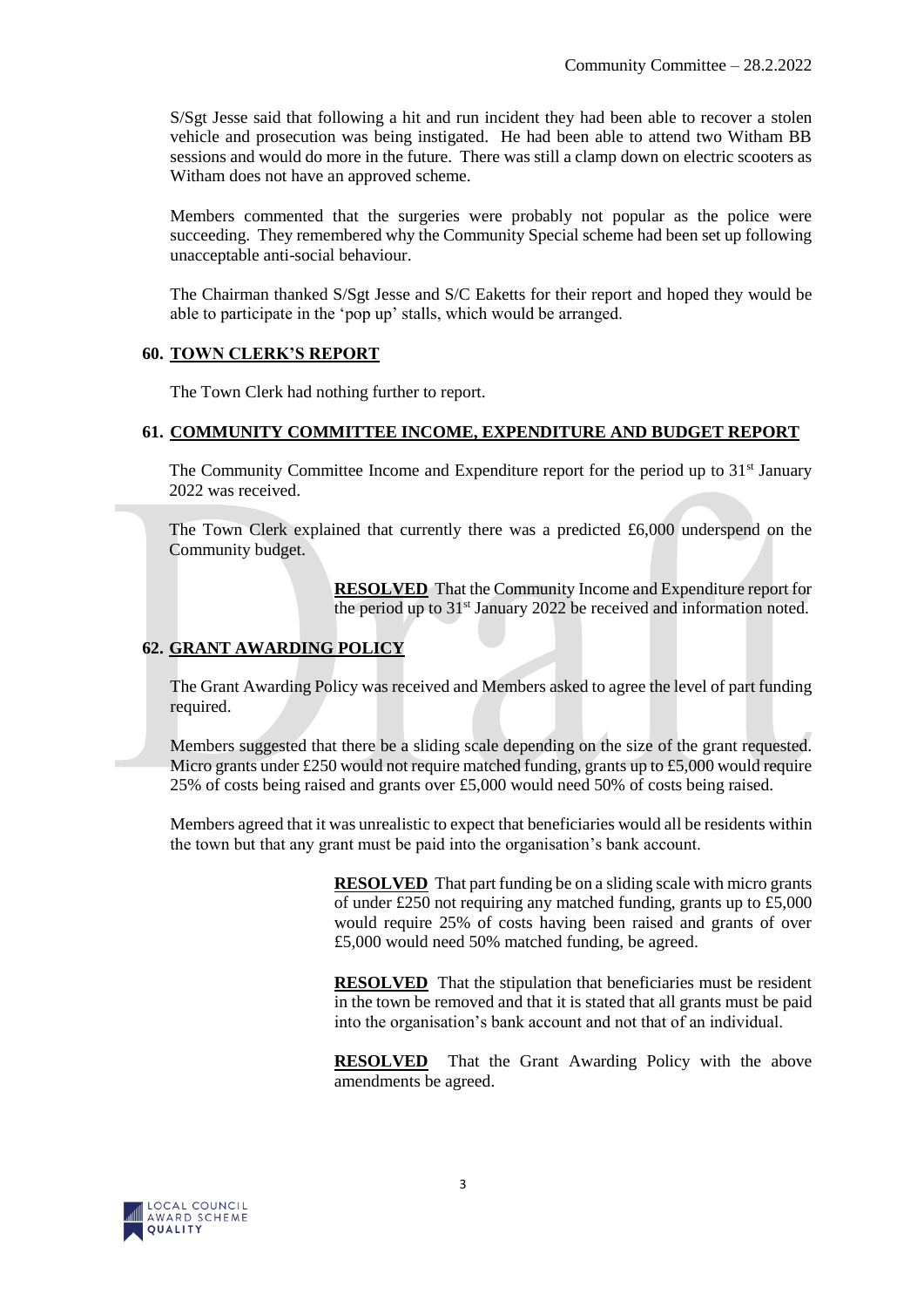S/Sgt Jesse said that following a hit and run incident they had been able to recover a stolen vehicle and prosecution was being instigated. He had been able to attend two Witham BB sessions and would do more in the future. There was still a clamp down on electric scooters as Witham does not have an approved scheme.

Members commented that the surgeries were probably not popular as the police were succeeding. They remembered why the Community Special scheme had been set up following unacceptable anti-social behaviour.

The Chairman thanked S/Sgt Jesse and S/C Eaketts for their report and hoped they would be able to participate in the 'pop up' stalls, which would be arranged.

#### **60. TOWN CLERK'S REPORT**

The Town Clerk had nothing further to report.

#### **61. COMMUNITY COMMITTEE INCOME, EXPENDITURE AND BUDGET REPORT**

The Community Committee Income and Expenditure report for the period up to  $31<sup>st</sup>$  January 2022 was received.

The Town Clerk explained that currently there was a predicted  $£6,000$  underspend on the Community budget.

> **RESOLVED** That the Community Income and Expenditure report for the period up to 31<sup>st</sup> January 2022 be received and information noted.

### **62. GRANT AWARDING POLICY**

The Grant Awarding Policy was received and Members asked to agree the level of part funding required.

Members suggested that there be a sliding scale depending on the size of the grant requested. Micro grants under  $\text{\pounds}250$  would not require matched funding, grants up to  $\text{\pounds}5,000$  would require 25% of costs being raised and grants over £5,000 would need 50% of costs being raised.

Members agreed that it was unrealistic to expect that beneficiaries would all be residents within the town but that any grant must be paid into the organisation's bank account.

> **RESOLVED** That part funding be on a sliding scale with micro grants of under £250 not requiring any matched funding, grants up to £5,000 would require 25% of costs having been raised and grants of over £5,000 would need 50% matched funding, be agreed.

> **RESOLVED** That the stipulation that beneficiaries must be resident in the town be removed and that it is stated that all grants must be paid into the organisation's bank account and not that of an individual.

> **RESOLVED** That the Grant Awarding Policy with the above amendments be agreed.

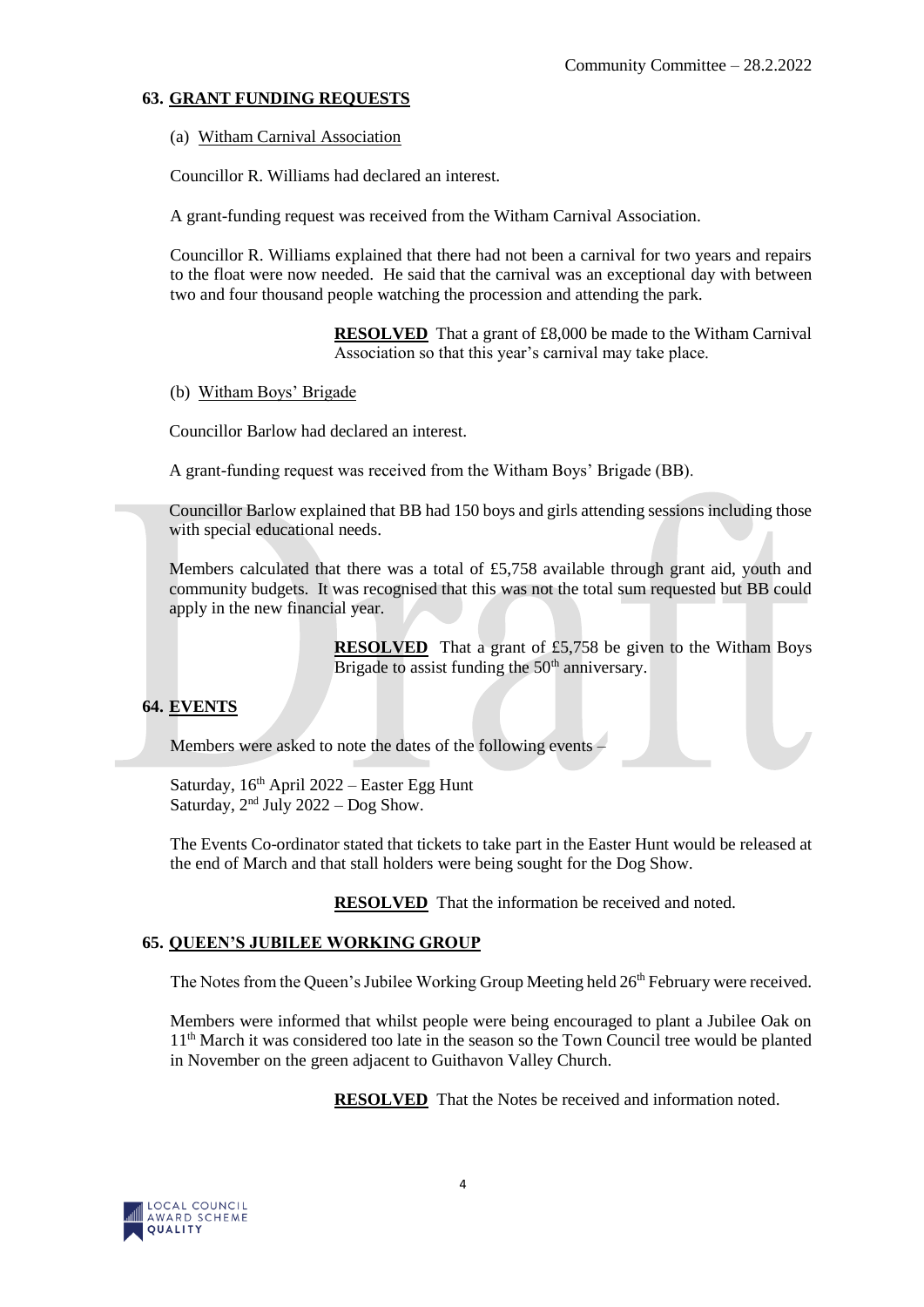### **63. GRANT FUNDING REQUESTS**

(a) Witham Carnival Association

Councillor R. Williams had declared an interest.

A grant-funding request was received from the Witham Carnival Association.

Councillor R. Williams explained that there had not been a carnival for two years and repairs to the float were now needed. He said that the carnival was an exceptional day with between two and four thousand people watching the procession and attending the park.

> **RESOLVED** That a grant of £8,000 be made to the Witham Carnival Association so that this year's carnival may take place.

(b) Witham Boys' Brigade

Councillor Barlow had declared an interest.

A grant-funding request was received from the Witham Boys' Brigade (BB).

Councillor Barlow explained that BB had 150 boys and girls attending sessions including those with special educational needs.

Members calculated that there was a total of £5,758 available through grant aid, youth and community budgets. It was recognised that this was not the total sum requested but BB could apply in the new financial year.

> **RESOLVED** That a grant of £5,758 be given to the Witham Boys Brigade to assist funding the 50<sup>th</sup> anniversary.

# **64. EVENTS**

Members were asked to note the dates of the following events –

Saturday,  $16<sup>th</sup>$  April 2022 – Easter Egg Hunt Saturday,  $2<sup>nd</sup>$  July 2022 – Dog Show.

The Events Co-ordinator stated that tickets to take part in the Easter Hunt would be released at the end of March and that stall holders were being sought for the Dog Show.

**RESOLVED** That the information be received and noted.

# **65. QUEEN'S JUBILEE WORKING GROUP**

The Notes from the Queen's Jubilee Working Group Meeting held 26<sup>th</sup> February were received.

Members were informed that whilst people were being encouraged to plant a Jubilee Oak on 11<sup>th</sup> March it was considered too late in the season so the Town Council tree would be planted in November on the green adjacent to Guithavon Valley Church.

**RESOLVED** That the Notes be received and information noted.

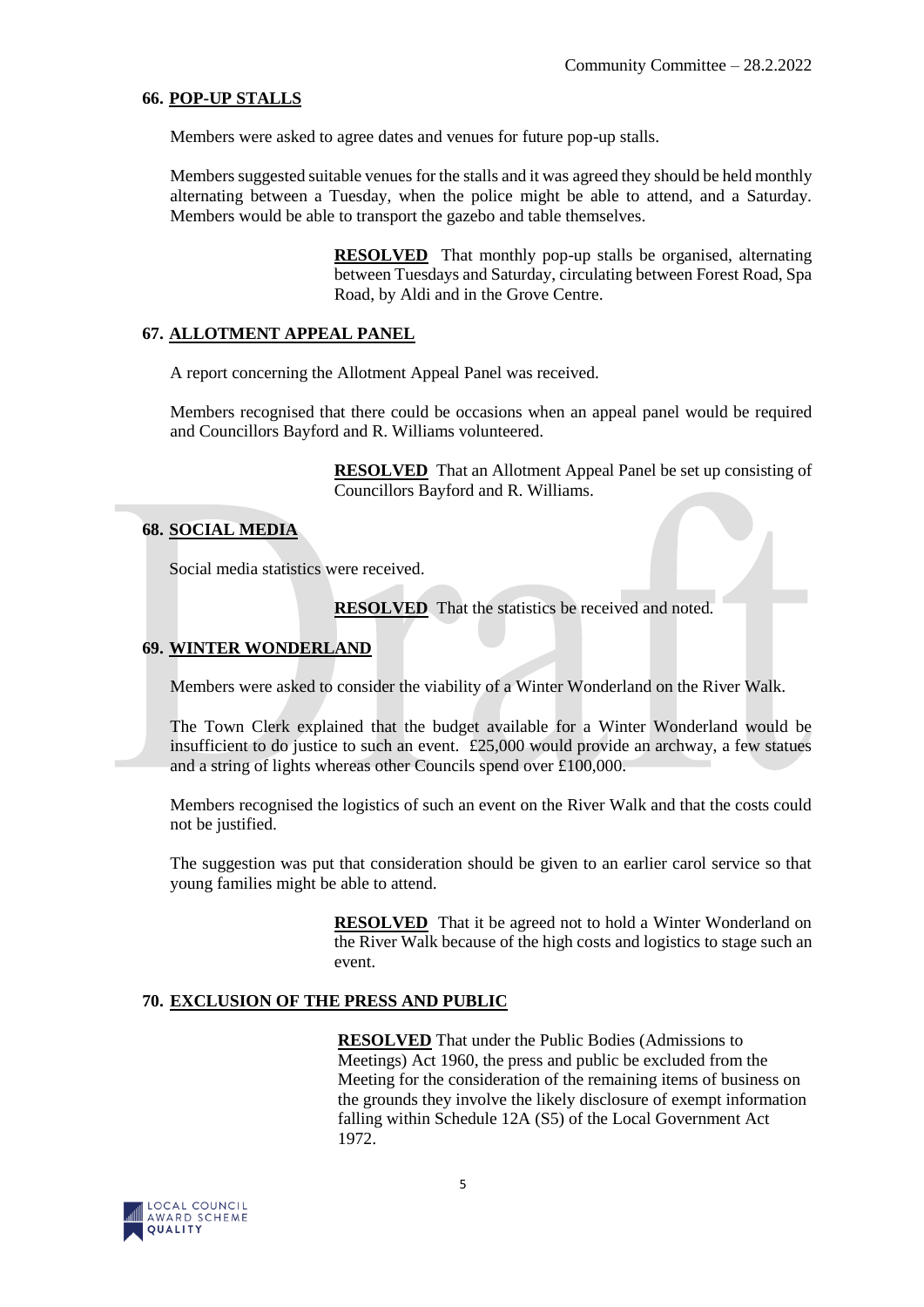#### **66. POP-UP STALLS**

Members were asked to agree dates and venues for future pop-up stalls.

Members suggested suitable venues for the stalls and it was agreed they should be held monthly alternating between a Tuesday, when the police might be able to attend, and a Saturday. Members would be able to transport the gazebo and table themselves.

> **RESOLVED** That monthly pop-up stalls be organised, alternating between Tuesdays and Saturday, circulating between Forest Road, Spa Road, by Aldi and in the Grove Centre.

#### **67. ALLOTMENT APPEAL PANEL**

A report concerning the Allotment Appeal Panel was received.

Members recognised that there could be occasions when an appeal panel would be required and Councillors Bayford and R. Williams volunteered.

> **RESOLVED** That an Allotment Appeal Panel be set up consisting of Councillors Bayford and R. Williams.

#### **68. SOCIAL MEDIA**

Social media statistics were received.

**RESOLVED** That the statistics be received and noted.

#### **69. WINTER WONDERLAND**

Members were asked to consider the viability of a Winter Wonderland on the River Walk.

The Town Clerk explained that the budget available for a Winter Wonderland would be insufficient to do justice to such an event. £25,000 would provide an archway, a few statues and a string of lights whereas other Councils spend over £100,000.

Members recognised the logistics of such an event on the River Walk and that the costs could not be justified.

The suggestion was put that consideration should be given to an earlier carol service so that young families might be able to attend.

> **RESOLVED** That it be agreed not to hold a Winter Wonderland on the River Walk because of the high costs and logistics to stage such an event.

# **70. EXCLUSION OF THE PRESS AND PUBLIC**

**RESOLVED** That under the Public Bodies (Admissions to Meetings) Act 1960, the press and public be excluded from the Meeting for the consideration of the remaining items of business on the grounds they involve the likely disclosure of exempt information falling within Schedule 12A (S5) of the Local Government Act 1972.